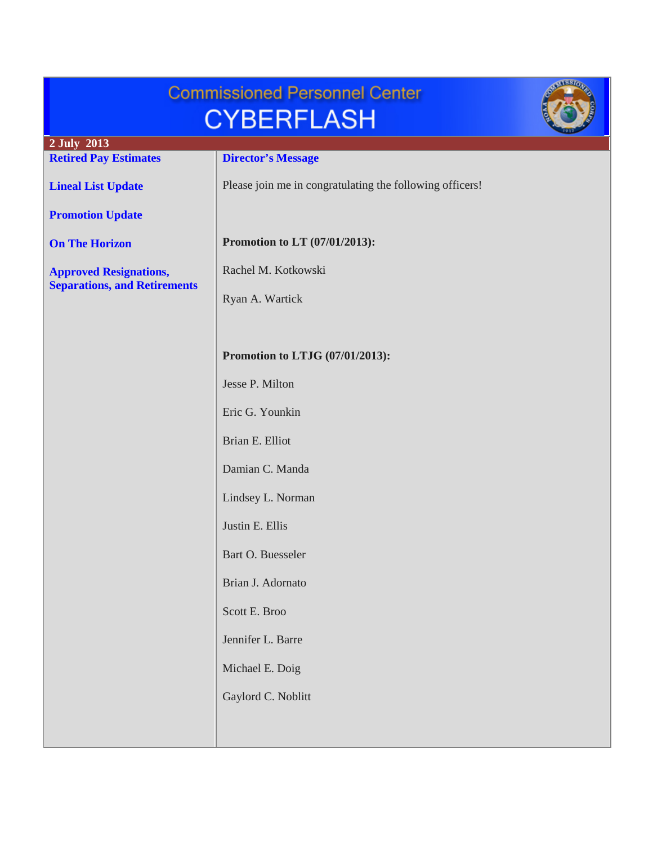| <b>Commissioned Personnel Center</b><br><b>CYBERFLASH</b>            |                                                          |  |
|----------------------------------------------------------------------|----------------------------------------------------------|--|
| 2 July 2013<br><b>Retired Pay Estimates</b>                          | <b>Director's Message</b>                                |  |
| <b>Lineal List Update</b>                                            | Please join me in congratulating the following officers! |  |
| <b>Promotion Update</b>                                              |                                                          |  |
| <b>On The Horizon</b>                                                | Promotion to LT (07/01/2013):                            |  |
| <b>Approved Resignations,</b><br><b>Separations, and Retirements</b> | Rachel M. Kotkowski                                      |  |
|                                                                      | Ryan A. Wartick                                          |  |
|                                                                      |                                                          |  |
|                                                                      | Promotion to LTJG (07/01/2013):                          |  |
|                                                                      | Jesse P. Milton                                          |  |
|                                                                      | Eric G. Younkin                                          |  |
|                                                                      | Brian E. Elliot                                          |  |
|                                                                      | Damian C. Manda                                          |  |
|                                                                      | Lindsey L. Norman                                        |  |
|                                                                      | Justin E. Ellis                                          |  |
|                                                                      | Bart O. Buesseler                                        |  |
|                                                                      | Brian J. Adornato                                        |  |
|                                                                      | Scott E. Broo                                            |  |
|                                                                      | Jennifer L. Barre                                        |  |
|                                                                      | Michael E. Doig                                          |  |
|                                                                      | Gaylord C. Noblitt                                       |  |
|                                                                      |                                                          |  |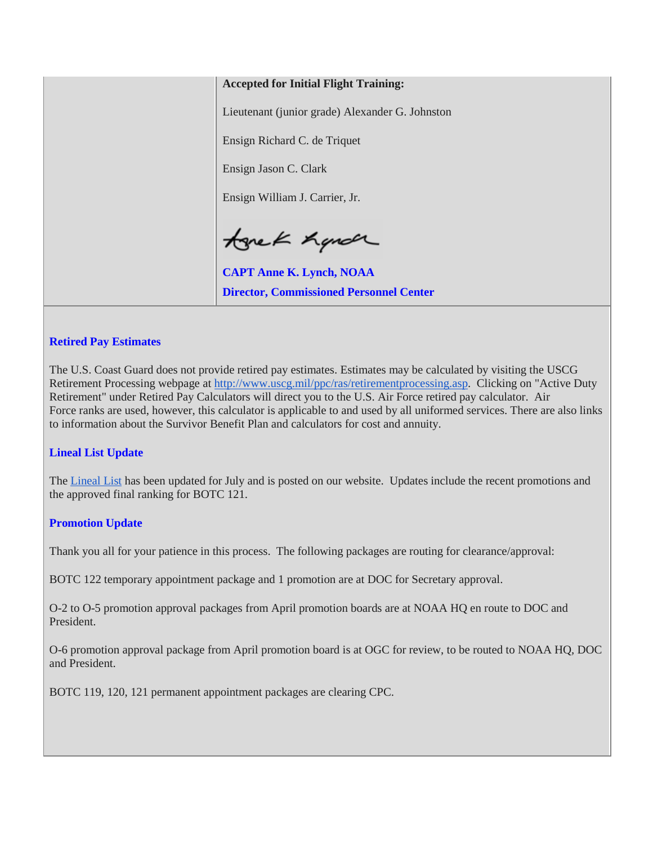### **Accepted for Initial Flight Training:**

Lieutenant (junior grade) Alexander G. Johnston

Ensign Richard C. de Triquet

Ensign Jason C. Clark

Ensign William J. Carrier, Jr.

tonek hande

**CAPT Anne K. Lynch, NOAA Director, Commissioned Personnel Center**

### <span id="page-1-0"></span>**Retired Pay Estimates**

The U.S. Coast Guard does not provide retired pay estimates. Estimates may be calculated by visiting the USCG Retirement Processing webpage at [http://www.uscg.mil/ppc/ras/retirementprocessing.asp.](http://www.uscg.mil/ppc/ras/retirementprocessing.asp) Clicking on "Active Duty Retirement" under Retired Pay Calculators will direct you to the U.S. Air Force retired pay calculator. Air Force ranks are used, however, this calculator is applicable to and used by all uniformed services. There are also links to information about the Survivor Benefit Plan and calculators for cost and annuity.

#### <span id="page-1-1"></span>**Lineal List Update**

The [Lineal List](http://www.corpscpc.noaa.gov/lineallist/2013lineallist/ll_07012013.pdf) has been updated for July and is posted on our website. Updates include the recent promotions and the approved final ranking for BOTC 121.

#### <span id="page-1-2"></span>**Promotion Update**

Thank you all for your patience in this process. The following packages are routing for clearance/approval:

BOTC 122 temporary appointment package and 1 promotion are at DOC for Secretary approval.

O-2 to O-5 promotion approval packages from April promotion boards are at NOAA HQ en route to DOC and President.

O-6 promotion approval package from April promotion board is at OGC for review, to be routed to NOAA HQ, DOC and President.

BOTC 119, 120, 121 permanent appointment packages are clearing CPC.